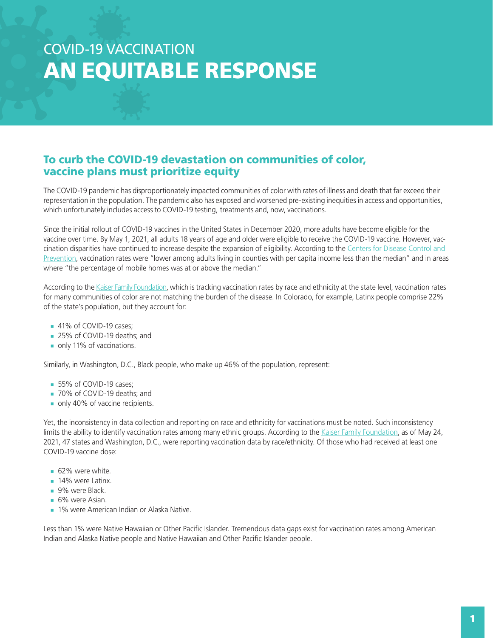# COVID-19 VACCINATION AN EQUITABLE RESPONSE

#### To curb the COVID-19 devastation on communities of color, vaccine plans must prioritize equity

The COVID-19 pandemic has disproportionately impacted communities of color with rates of illness and death that far exceed their representation in the population. The pandemic also has exposed and worsened pre-existing inequities in access and opportunities, which unfortunately includes access to COVID-19 testing, treatments and, now, vaccinations.

Since the initial rollout of COVID-19 vaccines in the United States in December 2020, more adults have become eligible for the vaccine over time. By May 1, 2021, all adults 18 years of age and older were eligible to receive the COVID-19 vaccine. However, vaccination disparities have continued to increase despite the expansion of eligibility. According to the Centers for Disease Control and [Prevention](https://www.cdc.gov/mmwr/volumes/70/wr/mm7022e1.htm?s_cid=mm7022e1_w), vaccination rates were "lower among adults living in counties with per capita income less than the median" and in areas where "the percentage of mobile homes was at or above the median."

According to the [Kaiser Family Foundation,](https://www.kff.org/coronavirus-covid-19/issue-brief/latest-data-on-covid-19-vaccinations-race-ethnicity/) which is tracking vaccination rates by race and ethnicity at the state level, vaccination rates for many communities of color are not matching the burden of the disease. In Colorado, for example, Latinx people comprise 22% of the state's population, but they account for:

- $\blacksquare$  41% of COVID-19 cases;
- 25% of COVID-19 deaths; and
- $\blacksquare$  only 11% of vaccinations.

Similarly, in Washington, D.C., Black people, who make up 46% of the population, represent:

- 55% of COVID-19 cases;
- 70% of COVID-19 deaths; and
- $\blacksquare$  only 40% of vaccine recipients.

Yet, the inconsistency in data collection and reporting on race and ethnicity for vaccinations must be noted. Such inconsistency limits the ability to identify vaccination rates among many ethnic groups. According to the [Kaiser Family Foundation](https://www.kff.org/racial-equity-and-health-policy/issue-brief/how-are-states-addressing-racial-equity-in-covid-19-vaccine-efforts/), as of May 24, 2021, 47 states and Washington, D.C., were reporting vaccination data by race/ethnicity. Of those who had received at least one COVID-19 vaccine dose:

- $62%$  were white.
- $\blacksquare$  14% were Latinx.
- 9% were Black.
- $6%$  were Asian.
- **1% were American Indian or Alaska Native.**

Less than 1% were Native Hawaiian or Other Pacific Islander. Tremendous data gaps exist for vaccination rates among American Indian and Alaska Native people and Native Hawaiian and Other Pacific Islander people.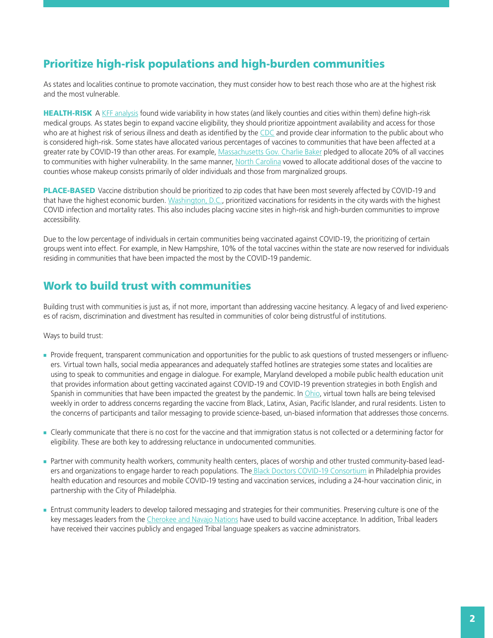## Prioritize high-risk populations and high-burden communities

As states and localities continue to promote vaccination, they must consider how to best reach those who are at the highest risk and the most vulnerable.

HEALTH-RISK A [KFF analysis](https://www.kff.org/policy-watch/the-next-phase-of-vaccine-distribution-high-risk-medical-conditions/) found wide variability in how states (and likely counties and cities within them) define high-risk medical groups. As states begin to expand vaccine eligibility, they should prioritize appointment availability and access for those who are at highest risk of serious illness and death as identified by the [CDC](https://www.cdc.gov/coronavirus/2019-ncov/need-extra-precautions/people-with-medical-conditions.html) and provide clear information to the public about who is considered high-risk. Some states have allocated various percentages of vaccines to communities that have been affected at a greater rate by COVID-19 than other areas. For example, [Massachusetts Gov. Charlie Baker](https://www.kff.org/racial-equity-and-health-policy/issue-brief/how-are-states-addressing-racial-equity-in-covid-19-vaccine-efforts/) pledged to allocate 20% of all vaccines to communities with higher vulnerability. In the same manner, [North Carolina](https://www.kff.org/racial-equity-and-health-policy/issue-brief/how-are-states-addressing-racial-equity-in-covid-19-vaccine-efforts/) vowed to allocate additional doses of the vaccine to counties whose makeup consists primarily of older individuals and those from marginalized groups.

PLACE-BASED Vaccine distribution should be prioritized to zip codes that have been most severely affected by COVID-19 and that have the highest economic burden. [Washington, D.C.,](https://www.brookings.edu/blog/fixgov/2021/02/02/whats-the-hold-up-why-more-vaccines-havent-been-administered/) prioritized vaccinations for residents in the city wards with the highest COVID infection and mortality rates. This also includes placing vaccine sites in high-risk and high-burden communities to improve accessibility.

Due to the low percentage of individuals in certain communities being vaccinated against COVID-19, the prioritizing of certain groups went into effect. For example, in New Hampshire, 10% of the total vaccines within the state are now reserved for individuals residing in communities that have been impacted the most by the COVID-19 pandemic.

#### Work to build trust with communities

Building trust with communities is just as, if not more, important than addressing vaccine hesitancy. A legacy of and lived experiences of racism, discrimination and divestment has resulted in communities of color being distrustful of institutions.

Ways to build trust:

- Provide frequent, transparent communication and opportunities for the public to ask questions of trusted messengers or influencers. Virtual town halls, social media appearances and adequately staffed hotlines are strategies some states and localities are using to speak to communities and engage in dialogue. For example, Maryland developed a mobile public health education unit that provides information about getting vaccinated against COVID-19 and COVID-19 prevention strategies in both English and Spanish in communities that have been impacted the greatest by the pandemic. In [Ohio](https://www.kff.org/racial-equity-and-health-policy/issue-brief/how-are-states-addressing-racial-equity-in-covid-19-vaccine-efforts/), virtual town halls are being televised weekly in order to address concerns regarding the vaccine from Black, Latinx, Asian, Pacific Islander, and rural residents. Listen to the concerns of participants and tailor messaging to provide science-based, un-biased information that addresses those concerns.
- Clearly communicate that there is no cost for the vaccine and that immigration status is not collected or a determining factor for eligibility. These are both key to addressing reluctance in undocumented communities.
- Partner with community health workers, community health centers, places of worship and other trusted community-based leaders and organizations to engage harder to reach populations. [The Black Doctors COVID-19 Consortium](https://blackdoctorsconsortium.com/) in Philadelphia provides health education and resources and mobile COVID-19 testing and vaccination services, including a 24-hour vaccination clinic, in partnership with the City of Philadelphia.
- Entrust community leaders to develop tailored messaging and strategies for their communities. Preserving culture is one of the key messages leaders from the [Cherokee and Navajo Nations](https://www.cnn.com/2021/02/09/us/tribal-health-providers-covid-vaccine-trnd/index.html) have used to build vaccine acceptance. In addition, Tribal leaders have received their vaccines publicly and engaged Tribal language speakers as vaccine administrators.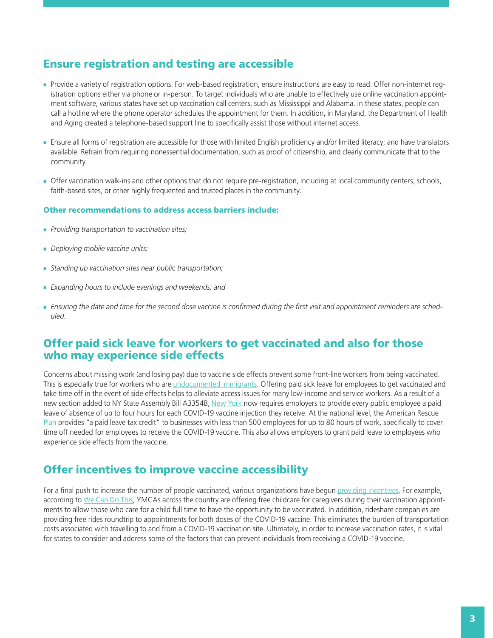### Ensure registration and testing are accessible

- Provide a variety of registration options. For web-based registration, ensure instructions are easy to read. Offer non-internet registration options either via phone or in-person. To target individuals who are unable to effectively use online vaccination appointment software, various states have set up vaccination call centers, such as Mississippi and Alabama. In these states, people can call a hotline where the phone operator schedules the appointment for them. In addition, in Maryland, the Department of Health and Aging created a telephone-based support line to specifically assist those without internet access.
- N Ensure all forms of registration are accessible for those with limited English proficiency and/or limited literacy; and have translators available. Refrain from requiring nonessential documentation, such as proof of citizenship, and clearly communicate that to the community.
- Offer vaccination walk-ins and other options that do not require pre-registration, including at local community centers, schools, faith-based sites, or other highly frequented and trusted places in the community.

#### Other recommendations to address access barriers include:

- **Providing transportation to vaccination sites;**
- **Deploying mobile vaccine units;**
- **Standing up vaccination sites near public transportation;**
- **Expanding hours to include evenings and weekends; and**
- Ensuring the date and time for the second dose vaccine is confirmed during the first visit and appointment reminders are sched*uled.*

#### Offer paid sick leave for workers to get vaccinated and also for those who may experience side effects

Concerns about missing work (and losing pay) due to vaccine side effects prevent some front-line workers from being vaccinated. This is especially true for workers who are [undocumented immigrants](https://www.kff.org/racial-equity-and-health-policy/issue-brief/immigrant-access-to-covid-19-vaccines-key-issues-to-consider/). Offering paid sick leave for employees to get vaccinated and take time off in the event of side effects helps to alleviate access issues for many low-income and service workers. As a result of a new section added to NY State Assembly Bill A3354B, [New York](https://www.nysenate.gov/legislation/bills/2021/a3354/amendment/b) now requires employers to provide every public employee a paid leave of absence of up to four hours for each COVID-19 vaccine injection they receive. At the national level, the [American Rescue](https://www.whitehouse.gov/briefing-room/statements-releases/2021/04/21/fact-sheet-president-biden-to-call-on-all-employers-to-provide-paid-time-off-for-employees-to-get-vaccinated-after-meeting-goal-of-200-million-shots-in-the-first-100-days/)  [Plan](https://www.whitehouse.gov/briefing-room/statements-releases/2021/04/21/fact-sheet-president-biden-to-call-on-all-employers-to-provide-paid-time-off-for-employees-to-get-vaccinated-after-meeting-goal-of-200-million-shots-in-the-first-100-days/) provides "a paid leave tax credit" to businesses with less than 500 employees for up to 80 hours of work, specifically to cover time off needed for employees to receive the COVID-19 vaccine. This also allows employers to grant paid leave to employees who experience side effects from the vaccine.

#### Offer incentives to improve vaccine accessibility

For a final push to increase the number of people vaccinated, various organizations have begun [providing incentives](https://www.vaccines.gov/incentives.html). For example, according to [We Can Do This](https://www.vaccines.gov/incentives.html), YMCAs across the country are offering free childcare for caregivers during their vaccination appointments to allow those who care for a child full time to have the opportunity to be vaccinated. In addition, rideshare companies are providing free rides roundtrip to appointments for both doses of the COVID-19 vaccine. This eliminates the burden of transportation costs associated with travelling to and from a COVID-19 vaccination site. Ultimately, in order to increase vaccination rates, it is vital for states to consider and address some of the factors that can prevent individuals from receiving a COVID-19 vaccine.